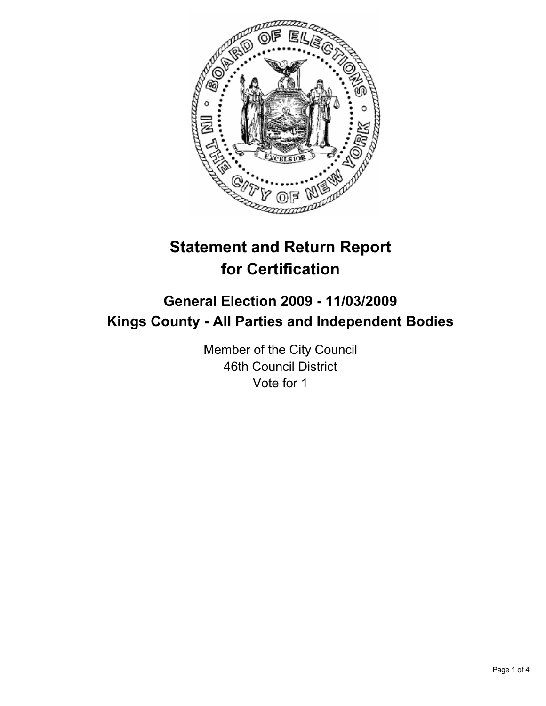

# **Statement and Return Report for Certification**

## **General Election 2009 - 11/03/2009 Kings County - All Parties and Independent Bodies**

Member of the City Council 46th Council District Vote for 1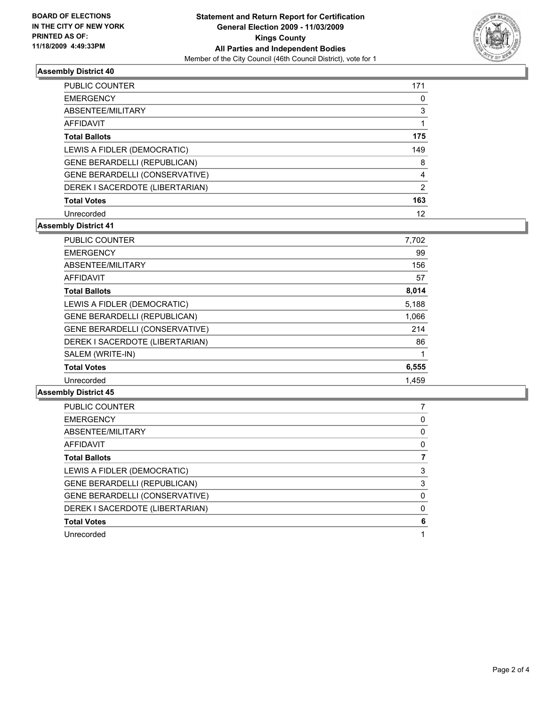

### **Assembly District 40**

| <b>PUBLIC COUNTER</b>               | 171 |
|-------------------------------------|-----|
| <b>EMERGENCY</b>                    | 0   |
| ABSENTEE/MILITARY                   | 3   |
| AFFIDAVIT                           |     |
| <b>Total Ballots</b>                | 175 |
| LEWIS A FIDLER (DEMOCRATIC)         | 149 |
| <b>GENE BERARDELLI (REPUBLICAN)</b> | 8   |
| GENE BERARDELLI (CONSERVATIVE)      | 4   |
| DEREK I SACERDOTE (LIBERTARIAN)     | 2   |
| <b>Total Votes</b>                  | 163 |
| Unrecorded                          | 12  |

### **Assembly District 41**

| <b>PUBLIC COUNTER</b>               | 7,702 |
|-------------------------------------|-------|
| <b>EMERGENCY</b>                    | 99    |
| ABSENTEE/MILITARY                   | 156   |
| <b>AFFIDAVIT</b>                    | 57    |
| <b>Total Ballots</b>                | 8,014 |
| LEWIS A FIDLER (DEMOCRATIC)         | 5,188 |
| <b>GENE BERARDELLI (REPUBLICAN)</b> | 1,066 |
| GENE BERARDELLI (CONSERVATIVE)      | 214   |
| DEREK I SACERDOTE (LIBERTARIAN)     | 86    |
| SALEM (WRITE-IN)                    | 1     |
| <b>Total Votes</b>                  | 6,555 |
| Unrecorded                          | 1.459 |

### **Assembly District 45**

| <b>PUBLIC COUNTER</b>           |   |
|---------------------------------|---|
| <b>EMERGENCY</b>                | 0 |
| ABSENTEE/MILITARY               | 0 |
| <b>AFFIDAVIT</b>                | 0 |
| <b>Total Ballots</b>            |   |
| LEWIS A FIDLER (DEMOCRATIC)     | 3 |
| GENE BERARDELLI (REPUBLICAN)    | 3 |
| GENE BERARDELLI (CONSERVATIVE)  | 0 |
| DEREK I SACERDOTE (LIBERTARIAN) | 0 |
| <b>Total Votes</b>              | 6 |
| Unrecorded                      |   |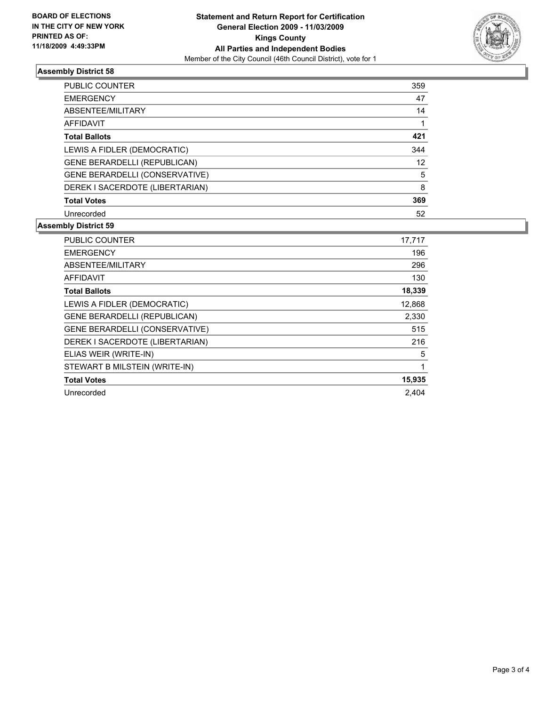

### **Assembly District 58**

| <b>PUBLIC COUNTER</b>           | 359 |
|---------------------------------|-----|
| <b>EMERGENCY</b>                | 47  |
| ABSENTEE/MILITARY               | 14  |
| AFFIDAVIT                       | 1   |
| <b>Total Ballots</b>            | 421 |
| LEWIS A FIDLER (DEMOCRATIC)     | 344 |
| GENE BERARDELLI (REPUBLICAN)    | 12  |
| GENE BERARDELLI (CONSERVATIVE)  | 5   |
| DEREK I SACERDOTE (LIBERTARIAN) | 8   |
| <b>Total Votes</b>              | 369 |
| Unrecorded                      | 52  |

### **Assembly District 59**

| <b>PUBLIC COUNTER</b>               | 17,717 |
|-------------------------------------|--------|
| <b>EMERGENCY</b>                    | 196    |
| ABSENTEE/MILITARY                   | 296    |
| <b>AFFIDAVIT</b>                    | 130    |
| <b>Total Ballots</b>                | 18,339 |
| LEWIS A FIDLER (DEMOCRATIC)         | 12,868 |
| <b>GENE BERARDELLI (REPUBLICAN)</b> | 2,330  |
| GENE BERARDELLI (CONSERVATIVE)      | 515    |
| DEREK I SACERDOTE (LIBERTARIAN)     | 216    |
| ELIAS WEIR (WRITE-IN)               | 5      |
| STEWART B MILSTEIN (WRITE-IN)       | 1      |
| <b>Total Votes</b>                  | 15,935 |
| Unrecorded                          | 2.404  |